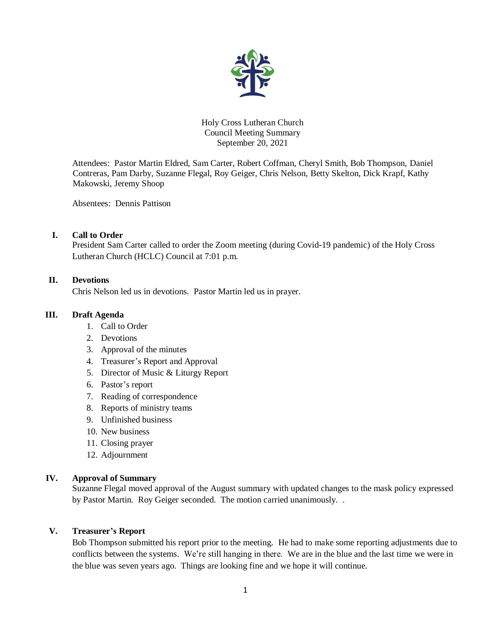

Holy Cross Lutheran Church Council Meeting Summary September 20, 2021

Attendees: Pastor Martin Eldred, Sam Carter, Robert Coffman, Cheryl Smith, Bob Thompson, Daniel Contreras, Pam Darby, Suzanne Flegal, Roy Geiger, Chris Nelson, Betty Skelton, Dick Krapf, Kathy Makowski, Jeremy Shoop

Absentees: Dennis Pattison

### **I. Call to Order**

President Sam Carter called to order the Zoom meeting (during Covid-19 pandemic) of the Holy Cross Lutheran Church (HCLC) Council at 7:01 p.m.

## **II. Devotions**

Chris Nelson led us in devotions. Pastor Martin led us in prayer.

## **III. Draft Agenda**

- 1. Call to Order
- 2. Devotions
- 3. Approval of the minutes
- 4. Treasurer's Report and Approval
- 5. Director of Music & Liturgy Report
- 6. Pastor's report
- 7. Reading of correspondence
- 8. Reports of ministry teams
- 9. Unfinished business
- 10. New business
- 11. Closing prayer
- 12. Adjournment

# **IV. Approval of Summary**

Suzanne Flegal moved approval of the August summary with updated changes to the mask policy expressed by Pastor Martin. Roy Geiger seconded. The motion carried unanimously. .

### **V. Treasurer's Report**

Bob Thompson submitted his report prior to the meeting. He had to make some reporting adjustments due to conflicts between the systems. We're still hanging in there. We are in the blue and the last time we were in the blue was seven years ago. Things are looking fine and we hope it will continue.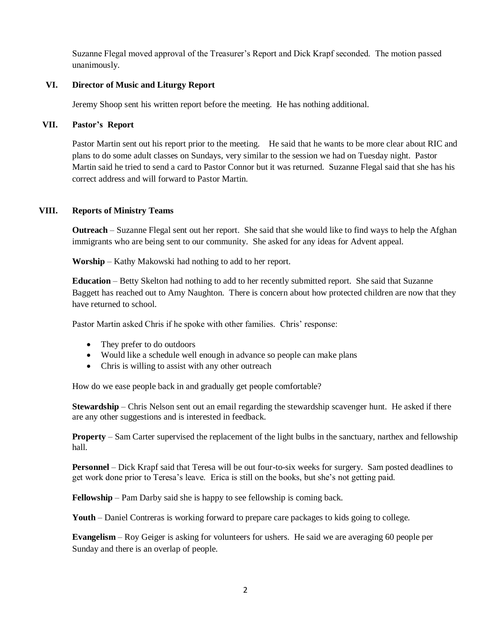Suzanne Flegal moved approval of the Treasurer's Report and Dick Krapf seconded. The motion passed unanimously.

#### **VI. Director of Music and Liturgy Report**

Jeremy Shoop sent his written report before the meeting. He has nothing additional.

#### **VII. Pastor's Report**

Pastor Martin sent out his report prior to the meeting. He said that he wants to be more clear about RIC and plans to do some adult classes on Sundays, very similar to the session we had on Tuesday night. Pastor Martin said he tried to send a card to Pastor Connor but it was returned. Suzanne Flegal said that she has his correct address and will forward to Pastor Martin.

#### **VIII. Reports of Ministry Teams**

**Outreach** – Suzanne Flegal sent out her report. She said that she would like to find ways to help the Afghan immigrants who are being sent to our community. She asked for any ideas for Advent appeal.

**Worship** – Kathy Makowski had nothing to add to her report.

**Education** – Betty Skelton had nothing to add to her recently submitted report. She said that Suzanne Baggett has reached out to Amy Naughton. There is concern about how protected children are now that they have returned to school.

Pastor Martin asked Chris if he spoke with other families. Chris' response:

- They prefer to do outdoors
- Would like a schedule well enough in advance so people can make plans
- Chris is willing to assist with any other outreach

How do we ease people back in and gradually get people comfortable?

**Stewardship** – Chris Nelson sent out an email regarding the stewardship scavenger hunt. He asked if there are any other suggestions and is interested in feedback.

**Property** – Sam Carter supervised the replacement of the light bulbs in the sanctuary, narthex and fellowship hall.

**Personnel** – Dick Krapf said that Teresa will be out four-to-six weeks for surgery. Sam posted deadlines to get work done prior to Teresa's leave. Erica is still on the books, but she's not getting paid.

**Fellowship** – Pam Darby said she is happy to see fellowship is coming back.

**Youth** – Daniel Contreras is working forward to prepare care packages to kids going to college.

**Evangelism** – Roy Geiger is asking for volunteers for ushers. He said we are averaging 60 people per Sunday and there is an overlap of people.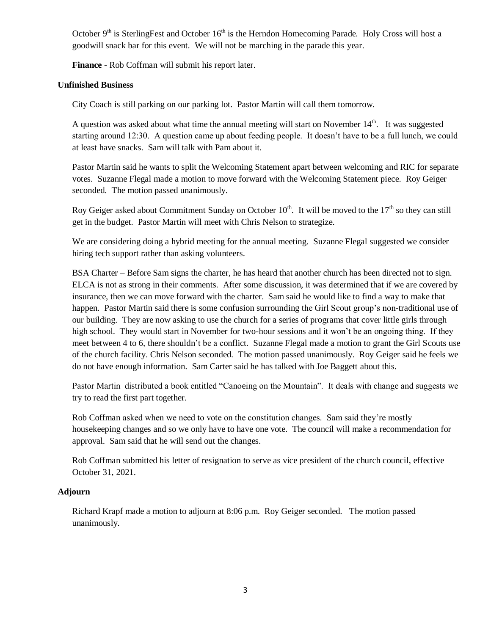October  $9<sup>th</sup>$  is SterlingFest and October 16<sup>th</sup> is the Herndon Homecoming Parade. Holy Cross will host a goodwill snack bar for this event. We will not be marching in the parade this year.

**Finance** - Rob Coffman will submit his report later.

## **Unfinished Business**

City Coach is still parking on our parking lot. Pastor Martin will call them tomorrow.

A question was asked about what time the annual meeting will start on November  $14<sup>th</sup>$ . It was suggested starting around 12:30. A question came up about feeding people. It doesn't have to be a full lunch, we could at least have snacks. Sam will talk with Pam about it.

Pastor Martin said he wants to split the Welcoming Statement apart between welcoming and RIC for separate votes. Suzanne Flegal made a motion to move forward with the Welcoming Statement piece. Roy Geiger seconded. The motion passed unanimously.

Roy Geiger asked about Commitment Sunday on October  $10^{th}$ . It will be moved to the  $17^{th}$  so they can still get in the budget. Pastor Martin will meet with Chris Nelson to strategize.

We are considering doing a hybrid meeting for the annual meeting. Suzanne Flegal suggested we consider hiring tech support rather than asking volunteers.

BSA Charter – Before Sam signs the charter, he has heard that another church has been directed not to sign. ELCA is not as strong in their comments. After some discussion, it was determined that if we are covered by insurance, then we can move forward with the charter. Sam said he would like to find a way to make that happen. Pastor Martin said there is some confusion surrounding the Girl Scout group's non-traditional use of our building. They are now asking to use the church for a series of programs that cover little girls through high school. They would start in November for two-hour sessions and it won't be an ongoing thing. If they meet between 4 to 6, there shouldn't be a conflict. Suzanne Flegal made a motion to grant the Girl Scouts use of the church facility. Chris Nelson seconded. The motion passed unanimously. Roy Geiger said he feels we do not have enough information. Sam Carter said he has talked with Joe Baggett about this.

Pastor Martin distributed a book entitled "Canoeing on the Mountain". It deals with change and suggests we try to read the first part together.

Rob Coffman asked when we need to vote on the constitution changes. Sam said they're mostly housekeeping changes and so we only have to have one vote. The council will make a recommendation for approval. Sam said that he will send out the changes.

Rob Coffman submitted his letter of resignation to serve as vice president of the church council, effective October 31, 2021.

# **Adjourn**

Richard Krapf made a motion to adjourn at 8:06 p.m. Roy Geiger seconded. The motion passed unanimously.